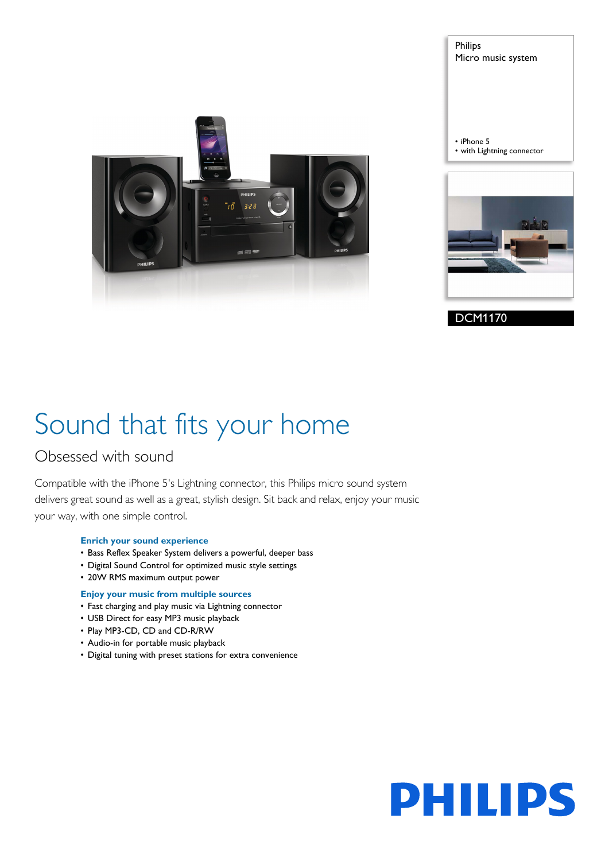

Philips Micro music system

• iPhone 5 • with Lightning connector



Sound that fits your home

## Obsessed with sound

Compatible with the iPhone 5's Lightning connector, this Philips micro sound system delivers great sound as well as a great, stylish design. Sit back and relax, enjoy your music your way, with one simple control.

#### **Enrich your sound experience**

- Bass Reflex Speaker System delivers a powerful, deeper bass
- Digital Sound Control for optimized music style settings
- 20W RMS maximum output power

#### **Enjoy your music from multiple sources**

- Fast charging and play music via Lightning connector
- USB Direct for easy MP3 music playback
- Play MP3-CD, CD and CD-R/RW
- Audio-in for portable music playback
- Digital tuning with preset stations for extra convenience

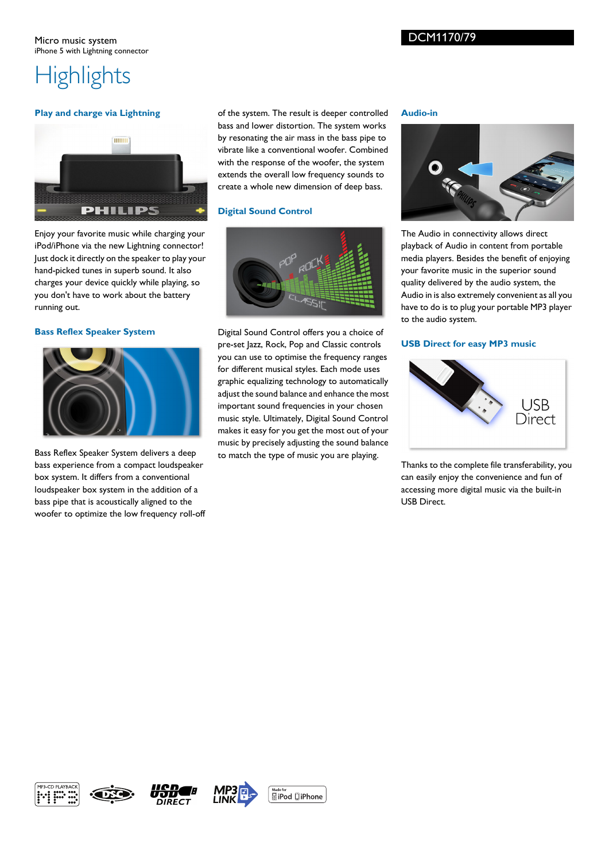### DCM1170/79

# **Highlights**

#### **Play and charge via Lightning**



Enjoy your favorite music while charging your iPod/iPhone via the new Lightning connector! Just dock it directly on the speaker to play your hand-picked tunes in superb sound. It also charges your device quickly while playing, so you don't have to work about the battery running out.

#### **Bass Reflex Speaker System**



Bass Reflex Speaker System delivers a deep bass experience from a compact loudspeaker box system. It differs from a conventional loudspeaker box system in the addition of a bass pipe that is acoustically aligned to the woofer to optimize the low frequency roll-off

of the system. The result is deeper controlled bass and lower distortion. The system works by resonating the air mass in the bass pipe to vibrate like a conventional woofer. Combined with the response of the woofer, the system extends the overall low frequency sounds to create a whole new dimension of deep bass.

#### **Digital Sound Control**



Digital Sound Control offers you a choice of pre-set Jazz, Rock, Pop and Classic controls you can use to optimise the frequency ranges for different musical styles. Each mode uses graphic equalizing technology to automatically adjust the sound balance and enhance the most important sound frequencies in your chosen music style. Ultimately, Digital Sound Control makes it easy for you get the most out of your music by precisely adjusting the sound balance to match the type of music you are playing.

#### **Audio-in**



The Audio in connectivity allows direct playback of Audio in content from portable media players. Besides the benefit of enjoying your favorite music in the superior sound quality delivered by the audio system, the Audio in is also extremely convenient as all you have to do is to plug your portable MP3 player to the audio system.

#### **USB Direct for easy MP3 music**



Thanks to the complete file transferability, you can easily enjoy the convenience and fun of accessing more digital music via the built-in USB Direct.